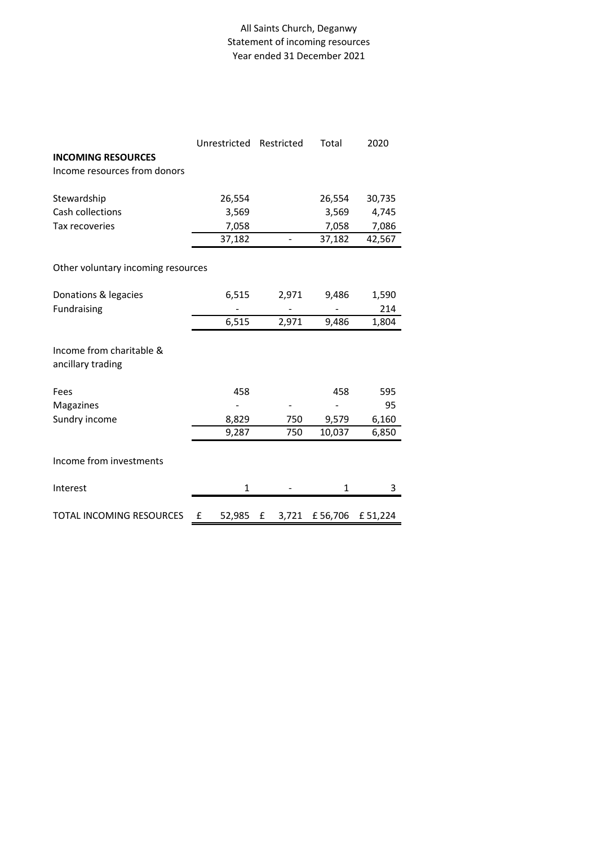## All Saints Church, Deganwy Statement of incoming resources Year ended 31 December 2021

|                                               | Unrestricted | Restricted | Total   | 2020    |
|-----------------------------------------------|--------------|------------|---------|---------|
| <b>INCOMING RESOURCES</b>                     |              |            |         |         |
| Income resources from donors                  |              |            |         |         |
| Stewardship                                   | 26,554       |            | 26,554  | 30,735  |
| Cash collections                              | 3,569        |            | 3,569   | 4,745   |
| Tax recoveries                                | 7,058        |            | 7,058   | 7,086   |
|                                               | 37,182       |            | 37,182  | 42,567  |
|                                               |              |            |         |         |
| Other voluntary incoming resources            |              |            |         |         |
| Donations & legacies                          | 6,515        | 2,971      | 9,486   | 1,590   |
| Fundraising                                   |              |            |         | 214     |
|                                               | 6,515        | 2,971      | 9,486   | 1,804   |
|                                               |              |            |         |         |
| Income from charitable &<br>ancillary trading |              |            |         |         |
| Fees                                          | 458          |            | 458     | 595     |
| Magazines                                     | -            |            |         | 95      |
| Sundry income                                 | 8,829        | 750        | 9,579   | 6,160   |
|                                               | 9,287        | 750        | 10,037  | 6,850   |
| Income from investments                       |              |            |         |         |
|                                               |              |            |         |         |
| Interest                                      | $\mathbf{1}$ |            | 1       | 3       |
| TOTAL INCOMING RESOURCES                      | £<br>52,985  | £<br>3,721 | £56,706 | £51,224 |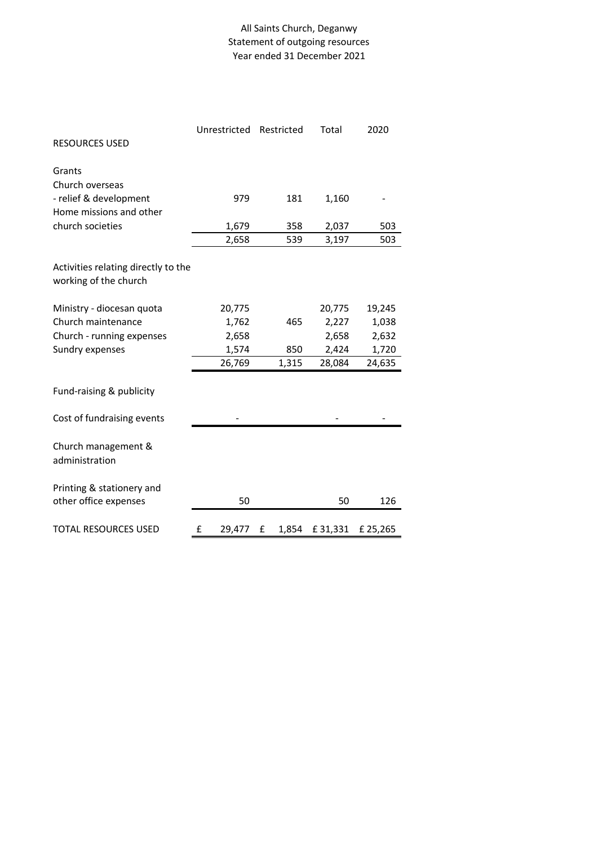## All Saints Church, Deganwy Statement of outgoing resources Year ended 31 December 2021

|                                     | Unrestricted | Restricted | Total   | 2020    |
|-------------------------------------|--------------|------------|---------|---------|
| <b>RESOURCES USED</b>               |              |            |         |         |
|                                     |              |            |         |         |
| Grants<br>Church overseas           |              |            |         |         |
| - relief & development              | 979          | 181        | 1,160   |         |
| Home missions and other             |              |            |         |         |
| church societies                    | 1,679        | 358        | 2,037   | 503     |
|                                     | 2,658        | 539        | 3,197   | 503     |
|                                     |              |            |         |         |
| Activities relating directly to the |              |            |         |         |
| working of the church               |              |            |         |         |
|                                     |              |            |         |         |
| Ministry - diocesan quota           | 20,775       |            | 20,775  | 19,245  |
| Church maintenance                  | 1,762        | 465        | 2,227   | 1,038   |
| Church - running expenses           | 2,658        |            | 2,658   | 2,632   |
| Sundry expenses                     | 1,574        | 850        | 2,424   | 1,720   |
|                                     | 26,769       | 1,315      | 28,084  | 24,635  |
|                                     |              |            |         |         |
| Fund-raising & publicity            |              |            |         |         |
| Cost of fundraising events          |              |            |         |         |
|                                     |              |            |         |         |
| Church management &                 |              |            |         |         |
| administration                      |              |            |         |         |
|                                     |              |            |         |         |
| Printing & stationery and           |              |            |         |         |
| other office expenses               | 50           |            | 50      | 126     |
|                                     |              |            |         |         |
| <b>TOTAL RESOURCES USED</b>         | £<br>29,477  | 1,854<br>£ | £31,331 | £25,265 |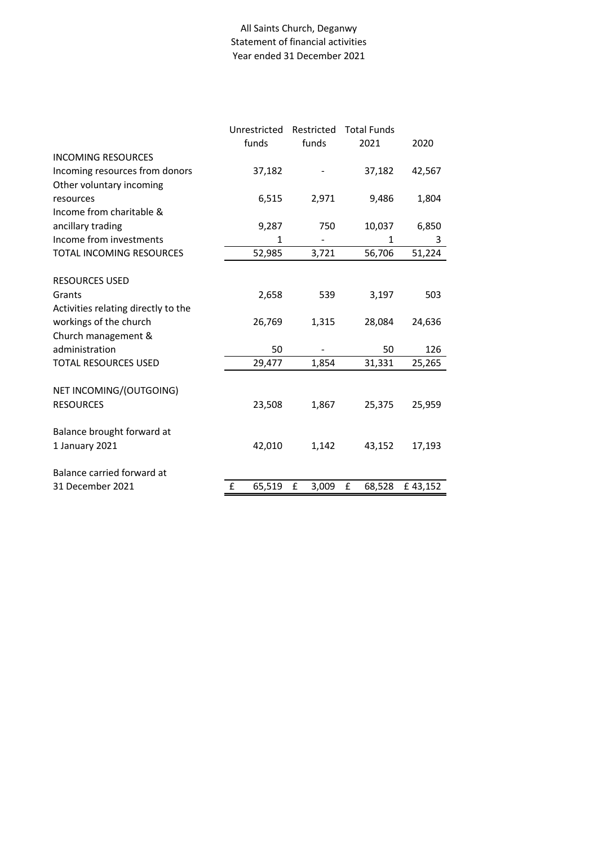## All Saints Church, Deganwy Statement of financial activities Year ended 31 December 2021

|                                     | Unrestricted |        | Restricted |     | <b>Total Funds</b> |    |         |
|-------------------------------------|--------------|--------|------------|-----|--------------------|----|---------|
|                                     | funds        |        | funds      |     | 2021               |    | 2020    |
| <b>INCOMING RESOURCES</b>           |              |        |            |     |                    |    |         |
| Incoming resources from donors      |              | 37,182 |            |     | 37,182             |    | 42,567  |
| Other voluntary incoming            |              |        |            |     |                    |    |         |
| resources                           |              | 6,515  | 2,971      |     | 9,486              |    | 1,804   |
| Income from charitable &            |              |        |            |     |                    |    |         |
| ancillary trading                   |              | 9,287  |            | 750 | 10,037             |    | 6,850   |
| Income from investments             |              | 1      |            |     |                    | 1  | 3       |
| TOTAL INCOMING RESOURCES            |              | 52,985 | 3,721      |     | 56,706             |    | 51,224  |
|                                     |              |        |            |     |                    |    |         |
| <b>RESOURCES USED</b>               |              |        |            |     |                    |    |         |
| Grants                              |              | 2,658  |            | 539 | 3,197              |    | 503     |
| Activities relating directly to the |              |        |            |     |                    |    |         |
| workings of the church              |              | 26,769 | 1,315      |     | 28,084             |    | 24,636  |
| Church management &                 |              |        |            |     |                    |    |         |
| administration                      |              | 50     |            |     |                    | 50 | 126     |
| <b>TOTAL RESOURCES USED</b>         |              | 29,477 | 1,854      |     | 31,331             |    | 25,265  |
|                                     |              |        |            |     |                    |    |         |
| NET INCOMING/(OUTGOING)             |              |        |            |     |                    |    |         |
| <b>RESOURCES</b>                    |              | 23,508 | 1,867      |     | 25,375             |    | 25,959  |
|                                     |              |        |            |     |                    |    |         |
| Balance brought forward at          |              |        |            |     |                    |    |         |
| 1 January 2021                      |              | 42,010 | 1,142      |     | 43,152             |    | 17,193  |
|                                     |              |        |            |     |                    |    |         |
| Balance carried forward at          |              |        |            |     |                    |    |         |
| 31 December 2021                    | £            | 65,519 | £<br>3,009 |     | £<br>68,528        |    | £43,152 |